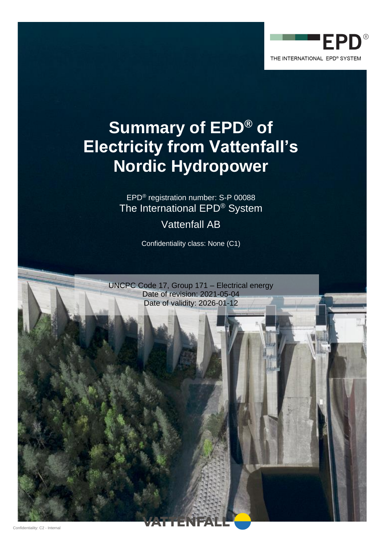

# **Summary of EPD® of Electricity from Vattenfall's Nordic Hydropower**

EPD® registration number: S-P 00088 The International EPD® System

Vattenfall AB

Confidentiality class: None (C1)

UNCPC Code 17, Group 171 – Electrical energy Date of revision: 2021-05-04 Date of validity: 2026-01-12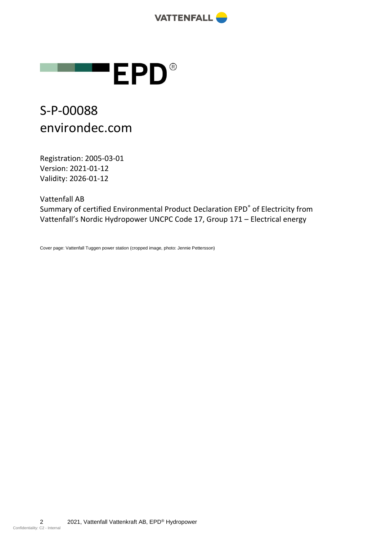



## S-P-00088 environdec.com

Registration: 2005-03-01 Version: 2021-01-12 Validity: 2026-01-12

Vattenfall AB

Summary of certified Environmental Product Declaration EPD® of Electricity from Vattenfall's Nordic Hydropower UNCPC Code 17, Group 171 – Electrical energy

Cover page: Vattenfall Tuggen power station (cropped image, photo: Jennie Pettersson)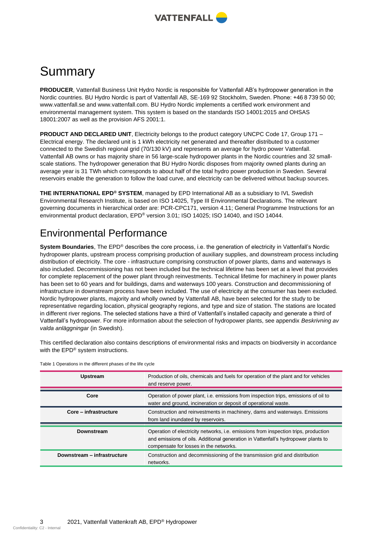

## Summary

**PRODUCER**, Vattenfall Business Unit Hydro Nordic is responsible for Vattenfall AB's hydropower generation in the Nordic countries. BU Hydro Nordic is part of Vattenfall AB, SE-169 92 Stockholm, Sweden. Phone: +46 8 739 50 00; www.vattenfall.se and www.vattenfall.com. BU Hydro Nordic implements a certified work environment and environmental management system. This system is based on the standards ISO 14001:2015 and OHSAS 18001:2007 as well as the provision AFS 2001:1.

**PRODUCT AND DECLARED UNIT**, Electricity belongs to the product category UNCPC Code 17, Group 171 – Electrical energy. The declared unit is 1 kWh electricity net generated and thereafter distributed to a customer connected to the Swedish regional grid (70/130 kV) and represents an average for hydro power Vattenfall. Vattenfall AB owns or has majority share in 56 large-scale hydropower plants in the Nordic countries and 32 smallscale stations. The hydropower generation that BU Hydro Nordic disposes from majority owned plants during an average year is 31 TWh which corresponds to about half of the total hydro power production in Sweden. Several reservoirs enable the generation to follow the load curve, and electricity can be delivered without backup sources.

**THE INTERNATIONAL EPD® SYSTEM**, managed by EPD International AB as a subsidiary to IVL Swedish Environmental Research Institute, is based on ISO 14025, Type III Environmental Declarations. The relevant governing documents in hierarchical order are: PCR-CPC171, version 4.11; General Programme Instructions for an environmental product declaration, EPD® version 3.01; ISO 14025; ISO 14040, and ISO 14044.

### Environmental Performance

**System Boundaries**, The EPD® describes the core process, i.e. the generation of electricity in Vattenfall's Nordic hydropower plants, upstream process comprising production of auxiliary supplies, and downstream process including distribution of electricity. The core - infrastructure comprising construction of power plants, dams and waterways is also included. Decommissioning has not been included but the technical lifetime has been set at a level that provides for complete replacement of the power plant through reinvestments. Technical lifetime for machinery in power plants has been set to 60 years and for buildings, dams and waterways 100 years. Construction and decommissioning of infrastructure in downstream process have been included. The use of electricity at the consumer has been excluded. Nordic hydropower plants, majority and wholly owned by Vattenfall AB, have been selected for the study to be representative regarding location, physical geography regions, and type and size of station. The stations are located in different river regions. The selected stations have a third of Vattenfall's installed capacity and generate a third of Vattenfall's hydropower. For more information about the selection of hydropower plants, see appendix *Beskrivning av valda anläggningar* (in Swedish).

This certified declaration also contains descriptions of environmental risks and impacts on biodiversity in accordance with the EPD<sup>®</sup> system instructions.

| <b>Upstream</b>             | Production of oils, chemicals and fuels for operation of the plant and for vehicles<br>and reserve power.                                                                                                          |
|-----------------------------|--------------------------------------------------------------------------------------------------------------------------------------------------------------------------------------------------------------------|
| Core                        | Operation of power plant, i.e. emissions from inspection trips, emissions of oil to<br>water and ground, incineration or deposit of operational waste.                                                             |
| Core - infrastructure       | Construction and reinvestments in machinery, dams and waterways. Emissions<br>from land inundated by reservoirs.                                                                                                   |
| <b>Downstream</b>           | Operation of electricity networks, i.e. emissions from inspection trips, production<br>and emissions of oils. Additional generation in Vattenfall's hydropower plants to<br>compensate for losses in the networks. |
| Downstream - infrastructure | Construction and decommissioning of the transmission grid and distribution<br>networks.                                                                                                                            |

Table 1 Operations in the different phases of the life cycle

Confidentiality: C2 - Internal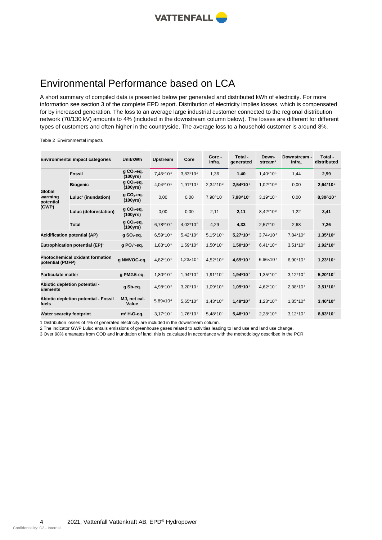

## Environmental Performance based on LCA

A short summary of compiled data is presented below per generated and distributed kWh of electricity. For more information see section 3 of the complete EPD report. Distribution of electricity implies losses, which is compensated for by increased generation. The loss to an average large industrial customer connected to the regional distribution network (70/130 kV) amounts to 4% (included in the downstream column below). The losses are different for different types of customers and often higher in the countryside. The average loss to a household customer is around 8%.

#### Table 2 Environmental impacts

| <b>Environmental impact categories</b>                     |                                 | Unit/kWh                             | Upstream              | Core                   | Core -<br>infra.      | Total -<br>generated   | Down-<br>stream <sup>1</sup> | Downstream -<br>infra. | Total -<br>distributed |
|------------------------------------------------------------|---------------------------------|--------------------------------------|-----------------------|------------------------|-----------------------|------------------------|------------------------------|------------------------|------------------------|
| Global<br>warming<br>potential<br>(GWP)                    | <b>Fossil</b>                   | $g \text{CO}_2$ -eq.<br>(100yrs)     | 7,45*10-3             | $3.83*10-2$            | 1,36                  | 1,40                   | $1,40*10-1$                  | 1,44                   | 2,99                   |
|                                                            | <b>Biogenic</b>                 | $qCO2$ -eq.<br>(100yrs)              | 4,04*10 <sup>-5</sup> | $1,91*103$             | $2,34*10-2$           | $2,54*102$             | $1,02*103$                   | 0,00                   | $2,64*102$             |
|                                                            | Luluc <sup>2</sup> (inundation) | $g$ CO <sub>2</sub> -eq.<br>(100yrs) | 0,00                  | 0,00                   | 7,98^101              | 7,98^101               | $3,19*10-2$                  | 0,00                   | 8,30^10 <sup>-1</sup>  |
|                                                            | Luluc (deforestation)           | $gCO2-eq.$<br>(100yrs)               | 0,00                  | 0,00                   | 2,11                  | 2,11                   | 8,42*10 <sup>2</sup>         | 1,22                   | 3,41                   |
|                                                            | <b>Total</b>                    | $g$ CO <sub>2</sub> -eq.<br>(100yrs) | $6,78*103$            | 4,02*10 <sup>-2</sup>  | 4,29                  | 4,33                   | $2,57*10-1$                  | 2,68                   | 7,26                   |
| <b>Acidification potential (AP)</b>                        |                                 | $g$ SO <sub>2</sub> -eq.             | $6,59*105$            | $5,42*10-5$            | $5,15*103$            | $5,27*10$ <sup>3</sup> | $3,74\times10^{4}$           | 7,84*10 <sup>-3</sup>  | $1,35*102$             |
| <b>Eutrophication potential (EP)3</b>                      |                                 | g PO $^{3}$ -eq.                     | 1,83*10 <sup>5</sup>  | 1,59*10 <sup>-5</sup>  | $1,50*10-2$           | $1,50*102$             | $6,41*10-4$                  | $3,51*103$             | $1,92*102$             |
| <b>Photochemical oxidant formation</b><br>potential (POFP) |                                 | g NMVOC-eq.                          | 4,82*10 <sup>-5</sup> | $1,23\times10^{-4}$    | 4,52*10 <sup>-3</sup> | 4,69*10 <sup>3</sup>   | $6,66 \times 10^{-4}$        | $6,90*103$             | $1,23*102$             |
| <b>Particulate matter</b>                                  |                                 | g PM2.5-eq.                          | $1,80*105$            | 1,94*10 <sup>-5</sup>  | $1,91*103$            | $1,94*103$             | 1,35*104                     | $3,12*103$             | $5,20*10*3$            |
| Abiotic depletion potential -<br><b>Elements</b>           |                                 | g Sb-eq.                             | 4,98*10 <sup>8</sup>  | $3,20*10$ <sup>9</sup> | $1,09*10-5$           | $1,09*10-5$            | 4,62*10 <sup>-7</sup>        | 2,38*10 <sup>-5</sup>  | $3,51*105$             |
| Abiotic depletion potential - Fossil<br>fuels              |                                 | MJ, net cal.<br>Value                | 5,89×104              | $5,65*10-6$            | $1,43*10-2$           | $1,49*10-2$            | $1,23*103$                   | 1,85*10 <sup>-2</sup>  | $3,46*102$             |
| Water scarcity footprint                                   |                                 | $m^3 H_2$ O-eq.                      | $3.17*107$            | $1,76*107$             | 5,48*104              | $5,48*10*$             | 2,28*10 <sup>-5</sup>        | $3,12*10-4$            | $8,83*10-4$            |

1 Distribution losses of 4% of generated electricity are included in the downstream column.

2 The indicator GWP Luluc entails emissions of greenhouse gases related to activities leading to land use and land use change.

3 Over 98% emanates from COD and inundation of land; this is calculated in accordance with the methodology described in the PCR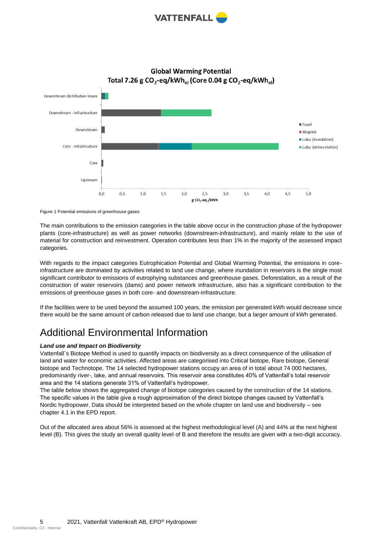

Downstream distribution losses Downstream - Infrastructure  $\blacksquare$  Fossil Downstream **Biogenic** Luluc (inundation) Core - Infrastructure Luluc (deforestation) Core Upstream  $0,0$  $0.5$  $1.0$  $1,5$  $2.0$  $2,5$  $3.0$  $3.5$ 4,0  $4,5$  $5.0$ g CO<sub>2</sub>-eq./kWh

**Global Warming Potential** Total 7.26 g CO<sub>2</sub>-eq/kWh<sub>el</sub> (Core 0.04 g CO<sub>2</sub>-eq/kWh<sub>el</sub>)

Figure 1 Potential emissions of greenhouse gases

The main contributions to the emission categories in the table above occur in the construction phase of the hydropower plants (core-infrastructure) as well as power networks (downstream-infrastructure), and mainly relate to the use of material for construction and reinvestment. Operation contributes less than 1% in the majority of the assessed impact categories.

With regards to the impact categories Eutrophication Potential and Global Warming Potential, the emissions in coreinfrastructure are dominated by activities related to land use change, where inundation in reservoirs is the single most significant contributor to emissions of eutrophying substances and greenhouse gases. Deforestation, as a result of the construction of water reservoirs (dams) and power network infrastructure, also has a significant contribution to the emissions of greenhouse gases in both core- and downstream-infrastructure.

If the facilities were to be used beyond the assumed 100 years, the emission per generated kWh would decrease since there would be the same amount of carbon released due to land use change, but a larger amount of kWh generated.

## Additional Environmental Information

#### *Land use and Impact on Biodiversity*

Vattenfall´s Biotope Method is used to quantify impacts on biodiversity as a direct consequence of the utilisation of land and water for economic activities. Affected areas are categorised into Critical biotope, Rare biotope, General biotope and Technotope. The 14 selected hydropower stations occupy an area of in total about 74 000 hectares, predominantly river-, lake, and annual reservoirs. This reservoir area constitutes 40% of Vattenfall's total reservoir area and the 14 stations generate 31% of Vattenfall's hydropower.

The table below shows the aggregated change of biotope categories caused by the construction of the 14 stations. The specific values in the table give a rough approximation of the direct biotope changes caused by Vattenfall's Nordic hydropower. Data should be interpreted based on the whole chapter on land use and biodiversity – see chapter 4.1 in the EPD report.

Out of the allocated area about 56% is assessed at the highest methodological level (A) and 44% at the next highest level (B). This gives the study an overall quality level of B and therefore the results are given with a two-digit accuracy.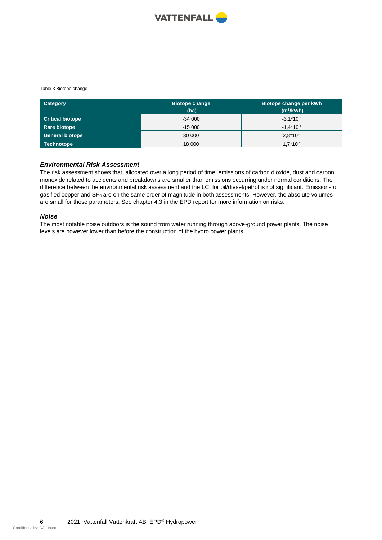

#### Table 3 Biotope change

| <b>Category</b>         | <b>Biotope change</b><br>(ha) | Biotope change per kWh<br>$(m^2/kWh)$ |
|-------------------------|-------------------------------|---------------------------------------|
| <b>Critical biotope</b> | $-34000$                      | $-3.1*10^{-4}$                        |
| Rare biotope            | $-15000$                      | $-1.4*10^{-4}$                        |
| <b>General biotope</b>  | 30 000                        | $2.8*10^{-4}$                         |
| Technotope              | 18 000                        | $1.7*10^{-4}$                         |

#### *Environmental Risk Assessment*

The risk assessment shows that, allocated over a long period of time, emissions of carbon dioxide, dust and carbon monoxide related to accidents and breakdowns are smaller than emissions occurring under normal conditions. The difference between the environmental risk assessment and the LCI for oil/diesel/petrol is not significant. Emissions of gasified copper and SF<sub>6</sub> are on the same order of magnitude in both assessments. However, the absolute volumes are small for these parameters. See chapter 4.3 in the EPD report for more information on risks.

#### *Noise*

The most notable noise outdoors is the sound from water running through above-ground power plants. The noise levels are however lower than before the construction of the hydro power plants.